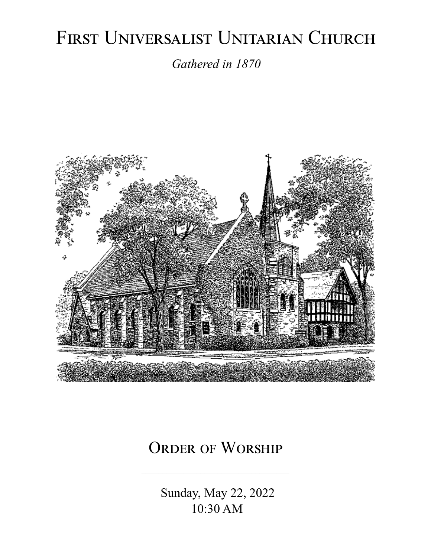# FIRST UNIVERSALIST UNITARIAN CHURCH

*Gathered in 1870*



# ORDER OF WORSHIP

 Sunday, May 22, 2022 10:30 AM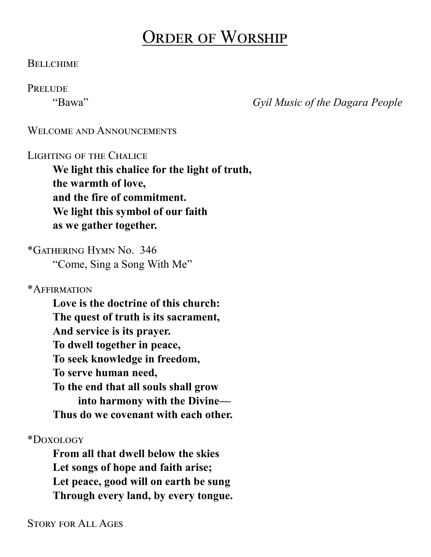# Order of Worship

#### **BELLCHIME**

#### **PRELUDE**

"Bawa" *Gyil Music of the Dagara People*

#### WELCOME AND ANNOUNCEMENTS

#### Lighting of the Chalice

**We light this chalice for the light of truth, the warmth of love, and the fire of commitment. We light this symbol of our faith as we gather together.**

\*Gathering Hymn No. 346 "Come, Sing a Song With Me"

\*Affirmation

**Love is the doctrine of this church: The quest of truth is its sacrament, And service is its prayer. To dwell together in peace, To seek knowledge in freedom, To serve human need, To the end that all souls shall grow into harmony with the Divine— Thus do we covenant with each other.**

\*Doxology

**From all that dwell below the skies Let songs of hope and faith arise; Let peace, good will on earth be sung Through every land, by every tongue.**

Story for All Ages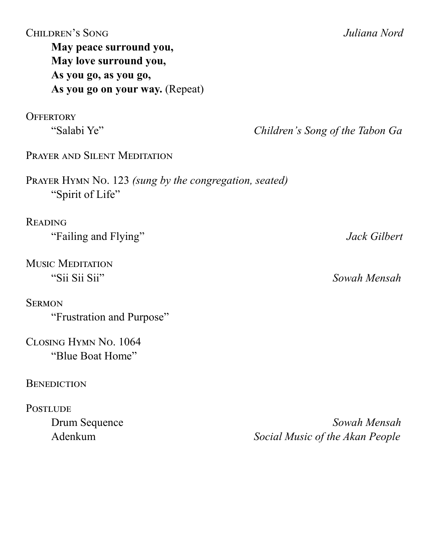| <b>CHILDREN'S SONG</b><br>May peace surround you,<br>May love surround you,<br>As you go, as you go,<br>As you go on your way. (Repeat) | Juliana Nord                    |
|-----------------------------------------------------------------------------------------------------------------------------------------|---------------------------------|
| <b>OFFERTORY</b>                                                                                                                        |                                 |
| "Salabi Ye"                                                                                                                             | Children's Song of the Tabon Ga |
| PRAYER AND SILENT MEDITATION                                                                                                            |                                 |
| PRAYER HYMN No. 123 (sung by the congregation, seated)<br>"Spirit of Life"                                                              |                                 |
| <b>READING</b>                                                                                                                          |                                 |
| "Failing and Flying"                                                                                                                    | Jack Gilbert                    |
| <b>MUSIC MEDITATION</b>                                                                                                                 |                                 |
| "Sii Sii Sii"                                                                                                                           | Sowah Mensah                    |
| <b>SERMON</b>                                                                                                                           |                                 |
| "Frustration and Purpose"                                                                                                               |                                 |
| CLOSING HYMN No. 1064                                                                                                                   |                                 |
| "Blue Boat Home"                                                                                                                        |                                 |
| <b>BENEDICTION</b>                                                                                                                      |                                 |
| <b>POSTLUDE</b>                                                                                                                         |                                 |
| Drum Sequence                                                                                                                           | Sowah Mensah                    |
| Adenkum                                                                                                                                 | Social Music of the Akan People |